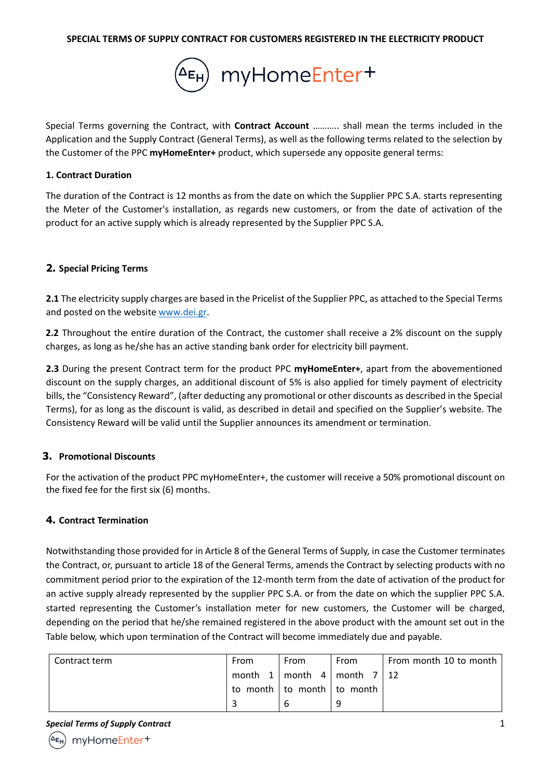

Special Terms governing the Contract, with **Contract Account** ……….. shall mean the terms included in the Application and the Supply Contract (General Terms), as well as the following terms related to the selection by the Customer of the PPC **myHomeEnter+** product, which supersede any opposite general terms:

#### **1. Contract Duration**

The duration of the Contract is 12 months as from the date on which the Supplier PPC S.A. starts representing the Meter of the Customer's installation, as regards new customers, or from the date of activation of the product for an active supply which is already represented by the Supplier PPC S.A.

### **2. Special Pricing Terms**

**2.1** The electricity supply charges are based in the Pricelist of the Supplier PPC, as attached to the Special Terms and posted on the website www.dei.gr.

**2.2** Throughout the entire duration of the Contract, the customer shall receive a 2% discount on the supply charges, as long as he/she has an active standing bank order for electricity bill payment.

**2.3** During the present Contract term for the product PPC **myHomeEnter+**, apart from the abovementioned discount on the supply charges, an additional discount of 5% is also applied for timely payment of electricity bills, the "Consistency Reward", (after deducting any promotional or other discounts as described in the Special Terms), for as long as the discount is valid, as described in detail and specified on the Supplier's website. The Consistency Reward will be valid until the Supplier announces its amendment or termination.

### **3. Promotional Discounts**

For the activation of the product PPC myHomeEnter+, the customer will receive a 50% promotional discount on the fixed fee for the first six (6) months.

### **4. Contract Termination**

Notwithstanding those provided for in Article 8 of the General Terms of Supply, in case the Customer terminates the Contract, or, pursuant to article 18 of the General Terms, amends the Contract by selecting products with no commitment period prior to the expiration of the 12-month term from the date of activation of the product for an active supply already represented by the supplier PPC S.A. or from the date on which the supplier PPC S.A. started representing the Customer's installation meter for new customers, the Customer will be charged, depending on the period that he/she remained registered in the above product with the amount set out in the Table below, which upon termination of the Contract will become immediately due and payable.

| Contract term | From | From | From                                            | From month 10 to month |
|---------------|------|------|-------------------------------------------------|------------------------|
|               |      |      | month $1 \mid$ month $4 \mid$ month $7 \mid 12$ |                        |
|               |      |      | to month   to month   to month                  |                        |
|               |      |      |                                                 |                        |

**Special Terms of Supply Contract** 1

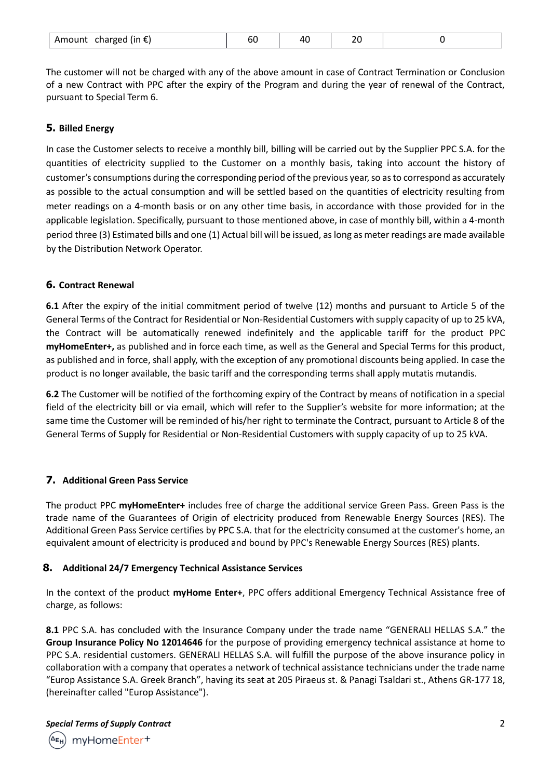|  | Amount<br>charged (in $\epsilon$ ) | Dι |  | $\sim$<br>-- |  |
|--|------------------------------------|----|--|--------------|--|
|--|------------------------------------|----|--|--------------|--|

The customer will not be charged with any of the above amount in case of Contract Termination or Conclusion of a new Contract with PPC after the expiry of the Program and during the year of renewal of the Contract, pursuant to Special Term 6.

## **5. Billed Energy**

In case the Customer selects to receive a monthly bill, billing will be carried out by the Supplier PPC S.A. for the quantities of electricity supplied to the Customer on a monthly basis, taking into account the history of customer's consumptions during the corresponding period of the previous year, so as to correspond as accurately as possible to the actual consumption and will be settled based on the quantities of electricity resulting from meter readings on a 4-month basis or on any other time basis, in accordance with those provided for in the applicable legislation. Specifically, pursuant to those mentioned above, in case of monthly bill, within a 4-month period three (3) Estimated bills and one (1) Actual bill will be issued, as long as meter readings are made available by the Distribution Network Operator.

### **6. Contract Renewal**

**6.1** After the expiry of the initial commitment period of twelve (12) months and pursuant to Article 5 of the General Terms of the Contract for Residential or Non-Residential Customers with supply capacity of up to 25 kVA, the Contract will be automatically renewed indefinitely and the applicable tariff for the product PPC **myHomeEnter+,** as published and in force each time, as well as the General and Special Terms for this product, as published and in force, shall apply, with the exception of any promotional discounts being applied. In case the product is no longer available, the basic tariff and the corresponding terms shall apply mutatis mutandis.

**6.2** The Customer will be notified of the forthcoming expiry of the Contract by means of notification in a special field of the electricity bill or via email, which will refer to the Supplier's website for more information; at the same time the Customer will be reminded of his/her right to terminate the Contract, pursuant to Article 8 of the General Terms of Supply for Residential or Non-Residential Customers with supply capacity of up to 25 kVA.

# **7. Additional Green Pass Service**

The product PPC **myHomeEnter+** includes free of charge the additional service Green Pass. Green Pass is the trade name of the Guarantees of Origin of electricity produced from Renewable Energy Sources (RES). The Additional Green Pass Service certifies by PPC S.A. that for the electricity consumed at the customer's home, an equivalent amount of electricity is produced and bound by PPC's Renewable Energy Sources (RES) plants.

### **8. Additional 24/7 Emergency Technical Assistance Services**

In the context of the product **myHome Enter+**, PPC offers additional Emergency Technical Assistance free of charge, as follows:

**8.1** PPC S.A. has concluded with the Insurance Company under the trade name "GENERALI HELLAS S.A." the **Group Insurance Policy No 12014646** for the purpose of providing emergency technical assistance at home to PPC S.A. residential customers. GENERALI HELLAS S.A. will fulfill the purpose of the above insurance policy in collaboration with a company that operates a network of technical assistance technicians under the trade name "Europ Assistance S.A. Greek Branch", having its seat at 205 Piraeus st. & Panagi Tsaldari st., Athens GR-177 18, (hereinafter called "Europ Assistance").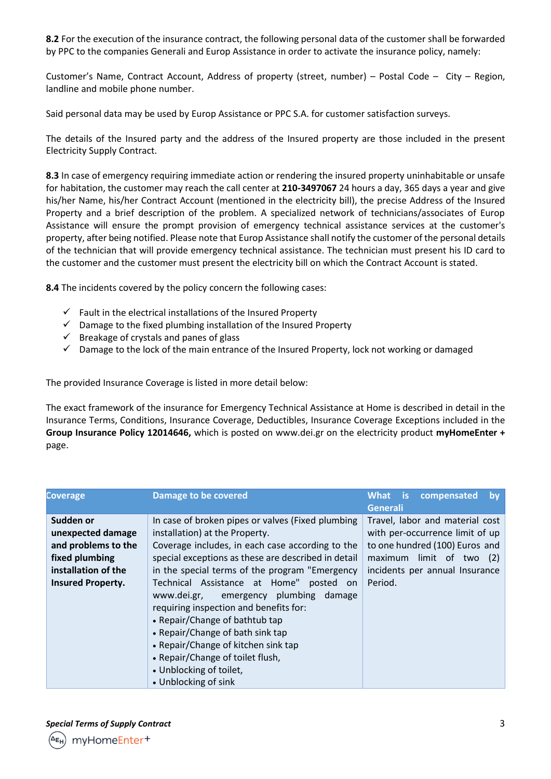**8.2** For the execution of the insurance contract, the following personal data of the customer shall be forwarded by PPC to the companies Generali and Europ Assistance in order to activate the insurance policy, namely:

Customer's Name, Contract Account, Address of property (street, number) – Postal Code – City – Region, landline and mobile phone number.

Said personal data may be used by Europ Assistance or PPC S.A. for customer satisfaction surveys.

The details of the Insured party and the address of the Insured property are those included in the present Electricity Supply Contract.

**8.3** In case of emergency requiring immediate action or rendering the insured property uninhabitable or unsafe for habitation, the customer may reach the call center at **210-3497067** 24 hours a day, 365 days a year and give his/her Name, his/her Contract Account (mentioned in the electricity bill), the precise Address of the Insured Property and a brief description of the problem. A specialized network of technicians/associates of Europ Assistance will ensure the prompt provision of emergency technical assistance services at the customer's property, after being notified. Please note that Europ Assistance shall notify the customer of the personal details of the technician that will provide emergency technical assistance. The technician must present his ID card to the customer and the customer must present the electricity bill on which the Contract Account is stated.

**8.4** The incidents covered by the policy concern the following cases:

- $\checkmark$  Fault in the electrical installations of the Insured Property
- $\checkmark$  Damage to the fixed plumbing installation of the Insured Property
- $\checkmark$  Breakage of crystals and panes of glass
- $\checkmark$  Damage to the lock of the main entrance of the Insured Property, lock not working or damaged

The provided Insurance Coverage is listed in more detail below:

The exact framework of the insurance for Emergency Technical Assistance at Home is described in detail in the Insurance Terms, Conditions, Insurance Coverage, Deductibles, Insurance Coverage Exceptions included in the **Group Insurance Policy 12014646,** which is posted on www.dei.gr on the electricity product **myHomeEnter +** page.

| <b>Coverage</b>                                                                                                            | <b>Damage to be covered</b>                                                                                                                                                                                                                                                                                                                                                                                                                                                                                                                                                           | compensated<br>What is<br>bv<br><b>Generali</b>                                                                                                                               |
|----------------------------------------------------------------------------------------------------------------------------|---------------------------------------------------------------------------------------------------------------------------------------------------------------------------------------------------------------------------------------------------------------------------------------------------------------------------------------------------------------------------------------------------------------------------------------------------------------------------------------------------------------------------------------------------------------------------------------|-------------------------------------------------------------------------------------------------------------------------------------------------------------------------------|
| Sudden or<br>unexpected damage<br>and problems to the<br>fixed plumbing<br>installation of the<br><b>Insured Property.</b> | In case of broken pipes or valves (Fixed plumbing<br>installation) at the Property.<br>Coverage includes, in each case according to the<br>special exceptions as these are described in detail<br>in the special terms of the program "Emergency<br>Technical Assistance at Home"<br>posted on<br>www.dei.gr, emergency plumbing damage<br>requiring inspection and benefits for:<br>• Repair/Change of bathtub tap<br>• Repair/Change of bath sink tap<br>• Repair/Change of kitchen sink tap<br>• Repair/Change of toilet flush,<br>• Unblocking of toilet,<br>• Unblocking of sink | Travel, labor and material cost<br>with per-occurrence limit of up<br>to one hundred (100) Euros and<br>maximum limit of two (2)<br>incidents per annual Insurance<br>Period. |